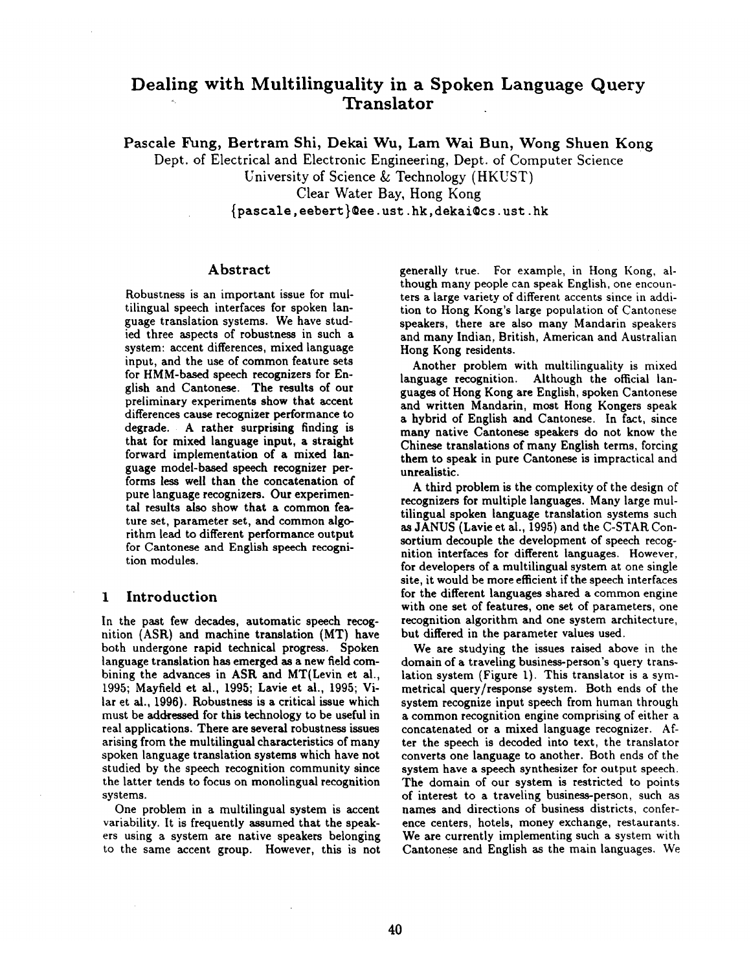# **Dealing with Multilinguality in a Spoken Language Query " Translator**

Pascale Fung, Bertram Shi, Dekai Wu, Lam Wai Bun, Wong Shuen Kong

Dept. of Electrical and Electronic Engineering, Dept. of Computer Science

University of Science & Technology (HKUST)

Clear Water Bay, Hong Kong

{pascale, eebert }tee. ust. hk, dekai©cs, ust. hk

#### **Abstract**

Robustness is an important issue for multilingual speech interfaces for spoken language translation systems. We have studied three aspects of robustness in such a system: accent differences, mixed language input, and the use of common feature sets for HMM-based speech recognizers for English and Cantonese. The results of our preliminary experiments show that accent differences cause recognizer performance to degrade. A rather surprising finding is that for mixed language input, a straight forward implementation of a mixed language model-based speech recognizer performs less well than the concatenation of pure language recognizers. Our experimental results also show that a common feature set, parameter set, and common algorithm lead to different performance output for Cantonese and English speech recognition modules.

### **1 Introduction**

In the past few decades, automatic speech recognition (ASR) and machine translation (MT) have both undergone rapid technical progress. Spoken language translation has emerged as a new field combining the advances in ASR and MT(Levin et al., 1995; Mayfield et al., 1995; Lavie et al., 1995; Vilar et al., 1996). Robustness is a critical issue which must be addressed for this technology to be useful in real applications. There are several robustness issues arising from the multilingual characteristics of many spoken language translation systems which have not studied by the speech recognition community since the latter tends to focus on monolingual recognition systems.

One problem in a multilingual system is accent variability. It is frequently assumed that the speakers using a system are native speakers belonging to the same accent group. However, this is not generally true. For example, in Hong Kong, although many people can speak English, one encounters a large variety of different accents since in addition to Hong Kong's large population of Cantonese speakers, there are also many Mandarin speakers and many Indian, British, American and Australian Hong Kong residents.

Another problem with multilinguality is mixed language recognition. Although the official languages of Hong Kong are English, spoken Cantonese and written Mandarin, most Hong Kongers speak a hybrid of English and Cantonese. In fact, since many native Cantonese speakers do not know the Chinese translations of many English terms, forcing them to speak in pure Cantonese is impractical and unrealistic.

A third problem is the complexity of the design of recognizers for multiple languages. Many large multilingual spoken language translation systems such as JANUS (Lavie et al., 1995) and the C-STAR Consortium decouple the development of speech recognition interfaces for different languages. However, for developers of a multilingual system at one single site, it would be more efficient if the speech interfaces for the different languages shared a common engine with one set of features, one set of parameters, one recognition algorithm and one system architecture, but differed in the parameter values used.

We are studying the issues raised above in the domain of a traveling business-person's query translation system (Figure 1). This translator is a symmetrical query/response system. Both ends of the system recognize input speech from human through a common recognition engine comprising of either a concatenated or a mixed language recognizer. After the speech is decoded into text, the translator converts one language to another. Both ends of the system have a speech synthesizer for output speech. The domain of our system is restricted to points of interest to a traveling business-person, such as names and directions of business districts, conference centers, hotels, money exchange, restaurants. We are currently implementing such a system with Cantonese and English as the main languages. We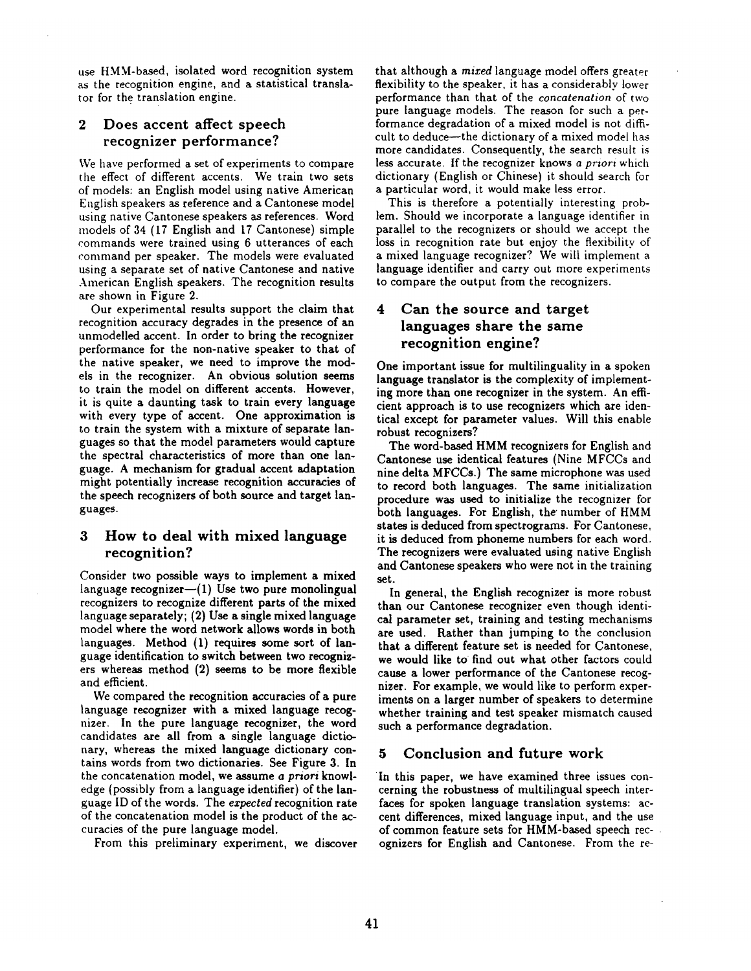use HMM-based, isolated word recognition system as the recognition engine, and a statistical translator for the translation engine.

### 2 Does accent affect speech recognizer performance?

We have performed a set of experiments to compare the effect of different accents. We train two sets of models: an English model using native American English speakers as reference and a Cantonese model using native Cantonese speakers as references. Word models of 34 (17 English and 17 Cantonese) simple commands were trained using 6 utterances of each command per speaker. The models were evaluated using a separate set of native Cantonese and native American English speakers. The recognition results are shown in Figure 2.

Our experimental results support the claim that recognition accuracy degrades in the presence of an unmodelled accent. In order to bring the recognizer performance for the non-native speaker to that of the native speaker, we need to improve the models in the recognizer. An obvious solution seems to train the model on different accents. However, it is quite a daunting task to train every language with every type of accent. One approximation is to train the system with a mixture of separate languages so that the model parameters would capture the spectral characteristics of more than one language. A mechanism for gradual accent adaptation might potentially increase recognition accuracies of the speech recognizers of both source and target languages.

### 3 How to deal with mixed language recognition?

Consider two possible ways to implement a mixed language recognizer $-(1)$  Use two pure monolingual recognizers to recognize different parts of the mixed language separately; (2) Use a single mixed language model where the word network allows words in both languages. Method (1) requires some sort of language identification to switch between two recognizers whereas method (2) seems to be more flexible and efficient.

We compared the recognition accuracies of a pure language recognizer with a mixed language recognizer. In the pure language recognizer, the word candidates are all from a single language dictionary, whereas the mixed language dictionary contains words from two dictionaries. See Figure 3. In the concatenation model, we assume *a priori* knowledge (possibly from a language identifier) of the language ID of the words. The *expected* recognition rate of the concatenation model is the product of the accuracies of the pure language model.

From this preliminary experiment, we discover

that although a *mired* language model offers greater flexibility to the speaker, it has a considerably lower performance than that of the *concatenation* of two pure language models. The reason for such a performance degradation of a mixed model is not difficult to deduce-the dictionary of a mixed model has more candidates. Consequently, the search result is less accurate. If the recognizer knows *a priori* which dictionary (English or Chinese) it should search for a particular word, it would make less error.

This is therefore a potentially interesting problem. Should we incorporate a language identifier in parallel to the recognizers or should we accept the loss in recognition rate but enjoy the flexibility of a mixed language recognizer? We will implement a language identifier and carry out more experiments to compare the output from the recognizers.

## 4 Can the source and target languages share the same recognition engine?

One important issue for multilinguality in a spoken language translator is the complexity of implementing more than one recognizer in the system. An efficient approach is to use recognizers which are identical except for parameter values. Will this enable robust recognizers?

The word-based HMM recognizers for English and Cantonese use identical features (Nine MFCCs and nine delta MFCCs.) The same microphone was used to record both languages. The same initialization procedure was used to initialize the recognizer for both languages. For English, the number of HMM states is deduced from spectrograms. For Cantonese, it is deduced from phoneme numbers for each word. The recognizers were evaluated using native English and Cantonese speakers who were not in the training set.

In general, the English recognizer is more robust than our Cantonese recognizer even though identical parameter set, training and testing mechanisms are used. Rather than jumping to the conclusion that a different feature set is needed for Cantonese, we would like to find out what other factors could cause a lower performance of the Cantonese recognizer. For example, we would like to perform experiments on a larger number of speakers to determine whether training and test speaker mismatch caused such a performance degradation.

### 5 Conclusion and future work

In this paper, we have examined three issues concerning the robustness of multilingual speech interfaces for spoken language translation systems: accent differences, mixed language input, and the use of common feature sets for HMM-based speech recognizers for English and Cantonese. From the re-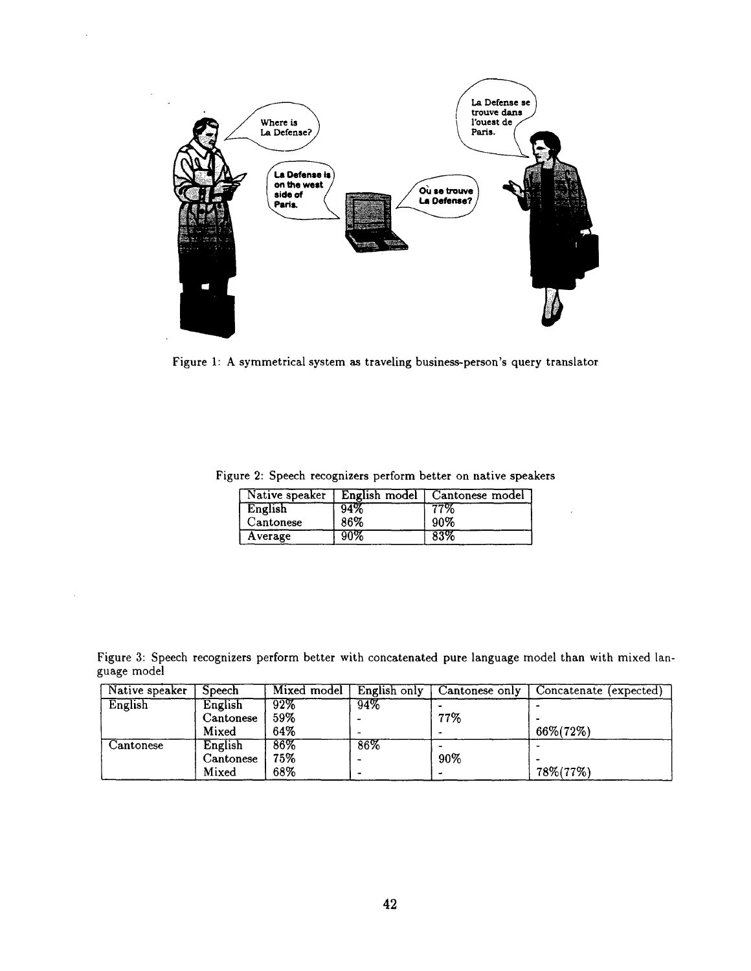

Figure 1: A symmetrical system as traveling business-person's query translator

|  |  |  | Figure 2: Speech recognizers perform better on native speakers |  |  |  |  |  |
|--|--|--|----------------------------------------------------------------|--|--|--|--|--|
|--|--|--|----------------------------------------------------------------|--|--|--|--|--|

|           |     | Native speaker   English model   Cantonese model |
|-----------|-----|--------------------------------------------------|
| English   | 94% | 77%                                              |
| Cantonese | 86% | 90%                                              |
| Average   | 90% | 83%                                              |

Figure 3: Speech recognizers perform better with concatenated pure language model than with mixed language model

| Native speaker | <b>Speech</b> | Mixed model       | English only | Cantonese only | Concatenate (expected) |
|----------------|---------------|-------------------|--------------|----------------|------------------------|
| English        | English       | $92\%$            | 94%          |                |                        |
|                | Cantonese     | $59\%$            |              | 77%            |                        |
|                | Mixed         | 64%               |              |                | 66%(72%)               |
| Cantonese      | English       | $\overline{86\%}$ | 86%          |                |                        |
|                | Cantonese     | 75%               |              | 90%            |                        |
|                | Mixed         | 68%               |              | $\rightarrow$  | 78%(77%)               |